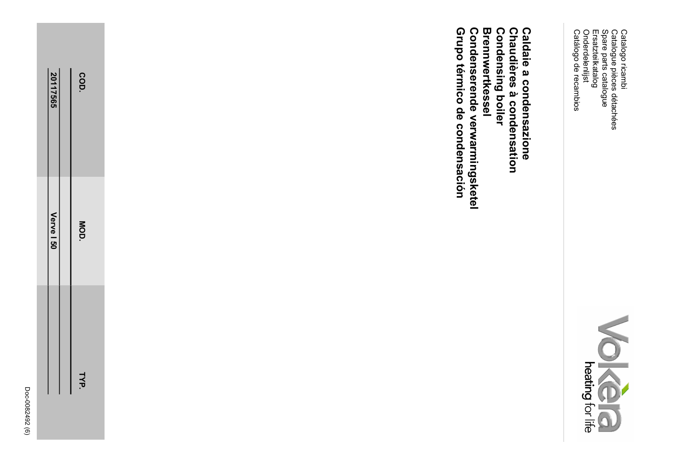| Catálogo de recambios<br>Onderdelenlist<br>Ersatzteilkatalog | Catalogue pièces détachées<br>Spare parts catalogue | Catalogo ricambi |
|--------------------------------------------------------------|-----------------------------------------------------|------------------|
|--------------------------------------------------------------|-----------------------------------------------------|------------------|



Doc-0082492 (6) 20117565 COD. Verve I 50 MOD. TYP. Grupo térmico de condensación Condenserende verwarmingsketel Brennwertkessel Condensing boiler Chaudières à condensation Caldaie a condensazione Catálogo de recambios Onderdelenlijst Ersatzteilkatalog Spare parts catalogue Catalogue pièces détachées Catalogo ricambi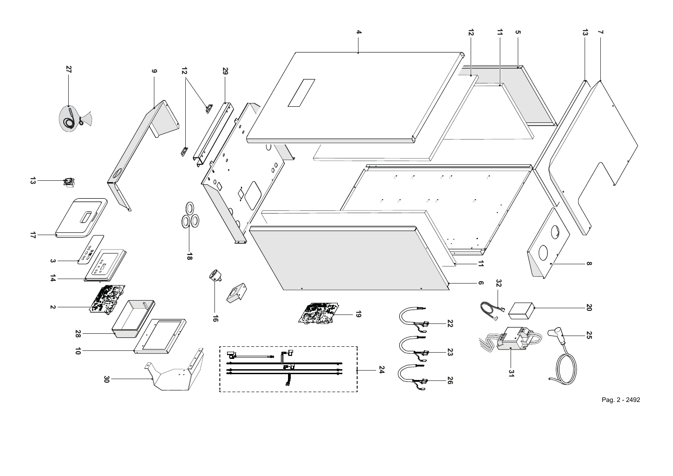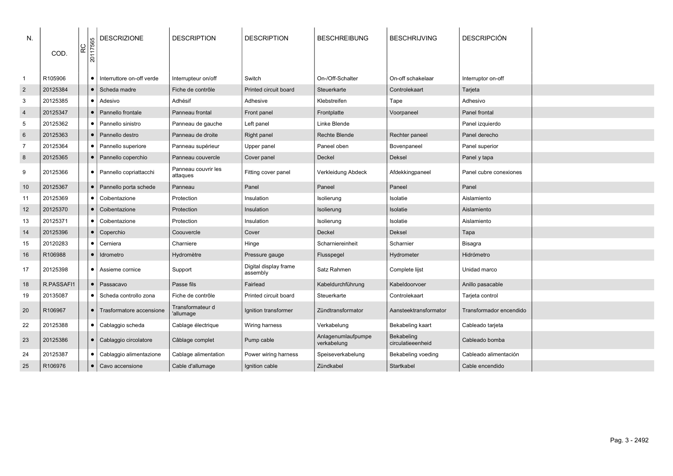| N.              | COD.       | $\rm ^{\rm c}$ | 20117565  | <b>DESCRIZIONE</b>        | <b>DESCRIPTION</b>              | <b>DESCRIPTION</b>                | <b>BESCHREIBUNG</b>               | <b>BESCHRIJVING</b>             | <b>DESCRIPCIÓN</b>      |  |
|-----------------|------------|----------------|-----------|---------------------------|---------------------------------|-----------------------------------|-----------------------------------|---------------------------------|-------------------------|--|
| $\overline{1}$  | R105906    |                | $\bullet$ | Interruttore on-off verde | Interrupteur on/off             | Switch                            | On-/Off-Schalter                  | On-off schakelaar               | Interruptor on-off      |  |
| $\overline{2}$  | 20125384   |                | $\bullet$ | Scheda madre              | Fiche de contrôle               | Printed circuit board             | Steuerkarte                       | Controlekaart                   | Tarjeta                 |  |
| 3               | 20125385   |                | $\bullet$ | Adesivo                   | Adhésif                         | Adhesive                          | Klebstreifen                      | Tape                            | Adhesivo                |  |
| $\overline{4}$  | 20125347   |                | $\bullet$ | Pannello frontale         | Panneau frontal                 | Front panel                       | Frontplatte                       | Voorpaneel                      | Panel frontal           |  |
| 5               | 20125362   |                | $\bullet$ | Pannello sinistro         | Panneau de gauche               | Left panel                        | Linke Blende                      |                                 | Panel izquierdo         |  |
| $6\phantom{1}6$ | 20125363   |                | $\bullet$ | Pannello destro           | Panneau de droite               | <b>Right panel</b>                | <b>Rechte Blende</b>              | Rechter paneel                  | Panel derecho           |  |
| $\overline{7}$  | 20125364   |                | $\bullet$ | Pannello superiore        | Panneau supérieur               | Upper panel                       | Paneel oben                       | Bovenpaneel                     | Panel superior          |  |
| 8               | 20125365   |                | $\bullet$ | Pannello coperchio        | Panneau couvercle               | Cover panel                       | Deckel                            | Deksel                          | Panel y tapa            |  |
| 9               | 20125366   |                | $\bullet$ | Pannello copriattacchi    | Panneau couvrir les<br>attaques | Fitting cover panel               | Verkleidung Abdeck                | Afdekkingpaneel                 | Panel cubre conexiones  |  |
| 10              | 20125367   |                | $\bullet$ | Pannello porta schede     | Panneau                         | Panel                             | Paneel                            | Paneel                          | Panel                   |  |
| 11              | 20125369   |                | $\bullet$ | Coibentazione             | Protection                      | Insulation                        | Isolierung                        | Isolatie                        | Aislamiento             |  |
| 12              | 20125370   |                | $\bullet$ | Coibentazione             | Protection                      | Insulation                        | Isolierung                        | Isolatie                        | Aislamiento             |  |
| 13              | 20125371   |                | $\bullet$ | Coibentazione             | Protection                      | Insulation                        | Isolierung                        | Isolatie                        | Aislamiento             |  |
| 14              | 20125396   |                | $\bullet$ | Coperchio                 | Coouvercle                      | Cover                             | Deckel                            | <b>Deksel</b>                   | Tapa                    |  |
| 15              | 20120283   |                | $\bullet$ | Cerniera                  | Charniere                       | Hinge                             | Scharniereinheit                  | Scharnier                       | Bisagra                 |  |
| 16              | R106988    |                | $\bullet$ | Idrometro                 | Hydromètre                      | Pressure gauge                    | Flusspegel                        | Hydrometer                      | Hidrómetro              |  |
| 17              | 20125398   |                | $\bullet$ | Assieme cornice           | Support                         | Digital display frame<br>assembly | Satz Rahmen                       | Complete lijst                  | Unidad marco            |  |
| 18              | R.PASSAFI1 |                | $\bullet$ | Passacavo                 | Passe fils                      | Fairlead                          | Kabeldurchführung                 | Kabeldoorvoer                   | Anillo pasacable        |  |
| 19              | 20135087   |                | $\bullet$ | Scheda controllo zona     | Fiche de contrôle               | Printed circuit board             | Steuerkarte                       | Controlekaart                   | Tarjeta control         |  |
| 20              | R106967    |                | $\bullet$ | Trasformatore accensione  | Transformateur d<br>'allumage   | Ignition transformer              | Zündtransformator                 | Aansteektransformator           | Transformador encendido |  |
| 22              | 20125388   |                | $\bullet$ | Cablaggio scheda          | Cablage électrique              | Wiring harness                    | Verkabelung                       | Bekabeling kaart                | Cableado tarjeta        |  |
| 23              | 20125386   |                | $\bullet$ | Cablaggio circolatore     | Câblage complet                 | Pump cable                        | Anlagenumlaufpumpe<br>verkabelung | Bekabeling<br>circulatieeenheid | Cableado bomba          |  |
| 24              | 20125387   |                | $\bullet$ | Cablaggio alimentazione   | Cablage alimentation            | Power wiring harness              | Speiseverkabelung                 | Bekabeling voeding              | Cableado alimentación   |  |
| 25              | R106976    |                | $\bullet$ | Cavo accensione           | Cable d'allumage                | Ignition cable                    | Zündkabel                         | Startkabel                      | Cable encendido         |  |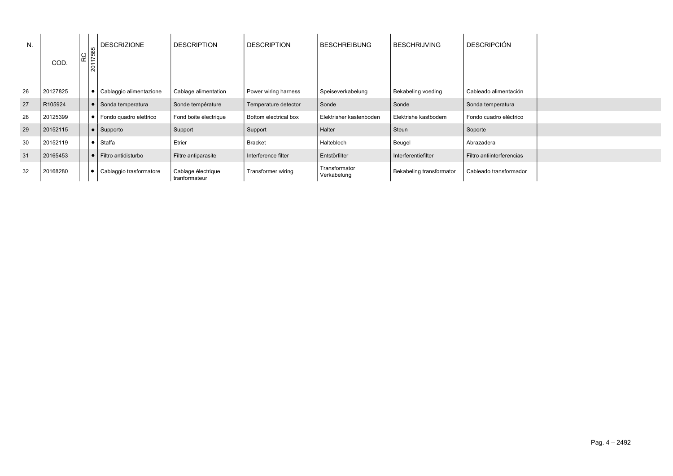| N. |          |                                | <b>DESCRIZIONE</b>                  | <b>DESCRIPTION</b>                  | <b>DESCRIPTION</b>    | <b>BESCHREIBUNG</b>          | <b>BESCHRIJVING</b>      | <b>DESCRIPCIÓN</b>        |  |
|----|----------|--------------------------------|-------------------------------------|-------------------------------------|-----------------------|------------------------------|--------------------------|---------------------------|--|
|    | COD.     | RC<br>117565<br>$\overline{5}$ |                                     |                                     |                       |                              |                          |                           |  |
| 26 | 20127825 |                                | $\bullet$   Cablaggio alimentazione | Cablage alimentation                | Power wiring harness  | Speiseverkabelung            | Bekabeling voeding       | Cableado alimentación     |  |
| 27 | R105924  |                                | $\bullet$ Sonda temperatura         | Sonde température                   | Temperature detector  | Sonde                        | Sonde                    | Sonda temperatura         |  |
| 28 | 20125399 |                                | $\bullet$   Fondo quadro elettrico  | Fond boite électrique               | Bottom electrical box | Elektrisher kastenboden      | Elektrishe kastbodem     | Fondo cuadro eléctrico    |  |
| 29 | 20152115 |                                | $\bullet$ Supporto                  | Support                             | Support               | Halter                       | Steun                    | Soporte                   |  |
| 30 | 20152119 |                                | $\bullet$ Staffa                    | Etrier                              | <b>Bracket</b>        | Halteblech                   | Beugel                   | Abrazadera                |  |
| 31 | 20165453 |                                | $\bullet$ Filtro antidisturbo       | Filtre antiparasite                 | Interference filter   | Entstörfilter                | Interferentiefilter      | Filtro antiinterferencias |  |
| 32 | 20168280 | $\bullet$                      | Cablaggio trasformatore             | Cablage électrique<br>tranformateur | Transformer wiring    | Transformator<br>Verkabelung | Bekabeling transformator | Cableado transformador    |  |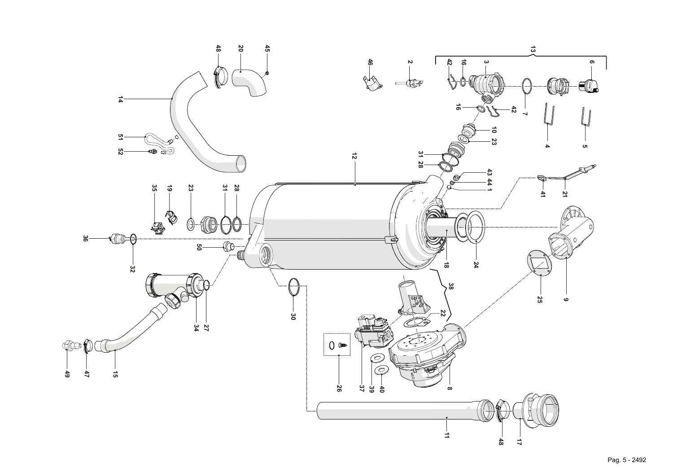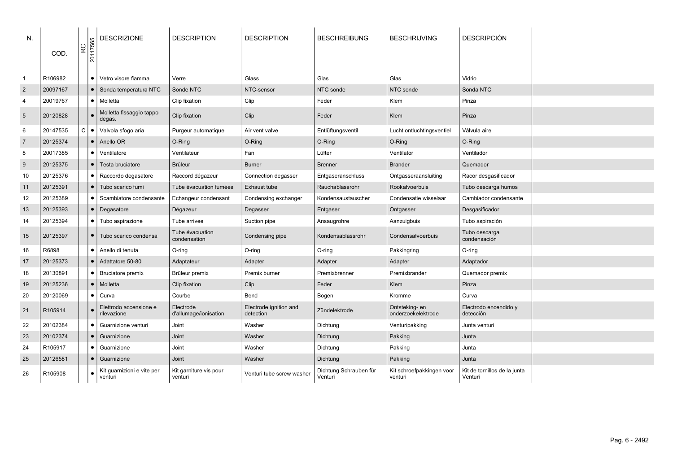| N.              | COD.     | ဥ | 20117565  | <b>DESCRIZIONE</b>                    | <b>DESCRIPTION</b>                 | <b>DESCRIPTION</b>                  | <b>BESCHREIBUNG</b>               | <b>BESCHRIJVING</b>                  | <b>DESCRIPCIÓN</b>                      |  |
|-----------------|----------|---|-----------|---------------------------------------|------------------------------------|-------------------------------------|-----------------------------------|--------------------------------------|-----------------------------------------|--|
| $\mathbf{1}$    | R106982  |   | $\bullet$ | Vetro visore fiamma                   | Verre                              | Glass                               | Glas                              | Glas                                 | Vidrio                                  |  |
| $\overline{2}$  | 20097167 |   | $\bullet$ | Sonda temperatura NTC                 | Sonde NTC                          | NTC-sensor                          | NTC sonde                         | NTC sonde                            | Sonda NTC                               |  |
| $\overline{4}$  | 20019767 |   | $\bullet$ | Molletta                              | Clip fixation                      | Clip                                | Feder                             | Klem                                 | Pinza                                   |  |
| $5\phantom{.0}$ | 20120828 |   |           | Molletta fissaggio tappo<br>degas.    | Clip fixation                      | Clip                                | Feder                             | Klem                                 | Pinza                                   |  |
| 6               | 20147535 |   | $C \cdot$ | Valvola sfogo aria                    | Purgeur automatique                | Air vent valve                      | Entlüftungsventil                 | Lucht ontluchtingsventiel            | Válvula aire                            |  |
| $\overline{7}$  | 20125374 |   | $\bullet$ | Anello OR                             | O-Ring                             | O-Ring                              | O-Ring                            | O-Ring                               | O-Ring                                  |  |
| 8               | 20017385 |   | $\bullet$ | Ventilatore                           | Ventilateur                        | Fan                                 | Lüfter                            | Ventilator                           | Ventilador                              |  |
| $9\,$           | 20125375 |   | $\bullet$ | Testa bruciatore                      | <b>Brûleur</b>                     | <b>Burner</b>                       | <b>Brenner</b>                    | <b>Brander</b>                       | Quemador                                |  |
| 10              | 20125376 |   | $\bullet$ | Raccordo degasatore                   | Raccord dégazeur                   | Connection degasser                 | Entgaseranschluss                 | Ontgasseraansluiting                 | Racor desgasificador                    |  |
| 11              | 20125391 |   | $\bullet$ | Tubo scarico fumi                     | Tube évacuation fumées             | Exhaust tube                        | Rauchablassrohr                   | Rookafvoerbuis                       | Tubo descarga humos                     |  |
| 12              | 20125389 |   | $\bullet$ | Scambiatore condensante               | Echangeur condensant               | Condensing exchanger                | Kondensaustauscher                | Condensatie wisselaar                | Cambiador condensante                   |  |
| 13              | 20125393 |   | $\bullet$ | Degasatore                            | Dégazeur                           | Degasser                            | Entgaser                          | Ontgasser                            | Desgasificador                          |  |
| 14              | 20125394 |   | $\bullet$ | Tubo aspirazione                      | Tube arrivee                       | Suction pipe                        | Ansaugrohre                       | Aanzuigbuis                          | Tubo aspiración                         |  |
| 15              | 20125397 |   | $\bullet$ | Tubo scarico condensa                 | Tube évacuation<br>condensation    | Condensing pipe                     | Kondensablassrohr                 | Condensafvoerbuis                    | Tubo descarga<br>condensación           |  |
| 16              | R6898    |   | $\bullet$ | Anello di tenuta                      | O-ring                             | O-ring                              | O-ring                            | Pakkingring                          | O-ring                                  |  |
| 17              | 20125373 |   | $\bullet$ | Adattatore 50-80                      | Adaptateur                         | Adapter                             | Adapter                           | Adapter                              | Adaptador                               |  |
| 18              | 20130891 |   | $\bullet$ | Bruciatore premix                     | Brûleur premix                     | Premix burner                       | Premixbrenner                     | Premixbrander                        | Quemador premix                         |  |
| 19              | 20125236 |   | $\bullet$ | Molletta                              | Clip fixation                      | Clip                                | Feder                             | Klem                                 | Pinza                                   |  |
| 20              | 20120069 |   | $\bullet$ | Curva                                 | Courbe                             | Bend                                | Bogen                             | Kromme                               | Curva                                   |  |
| 21              | R105914  |   | $\bullet$ | Elettrodo accensione e<br>rilevazione | Electrode<br>d'allumage/ionisation | Electrode ignition and<br>detection | Zündelektrode                     | Ontsteking- en<br>onderzoekelektrode | Electrodo encendido y<br>detección      |  |
| 22              | 20102384 |   | $\bullet$ | Guarnizione venturi                   | Joint                              | Washer                              | Dichtung                          | Venturipakking                       | Junta venturi                           |  |
| 23              | 20102374 |   | $\bullet$ | Guarnizione                           | Joint                              | Washer                              | Dichtung                          | Pakking                              | Junta                                   |  |
| 24              | R105917  |   | $\bullet$ | Guarnizione                           | Joint                              | Washer                              | Dichtung                          | Pakking                              | Junta                                   |  |
| 25              | 20126581 |   | $\bullet$ | Guarnizione                           | Joint                              | Washer                              | Dichtung                          | Pakking                              | Junta                                   |  |
| 26              | R105908  |   | $\bullet$ | Kit guarnizioni e vite per<br>venturi | Kit garniture vis pour<br>venturi  | Venturi tube screw washer           | Dichtung Schrauben für<br>Venturi | Kit schroefpakkingen voor<br>venturi | Kit de tornillos de la junta<br>Venturi |  |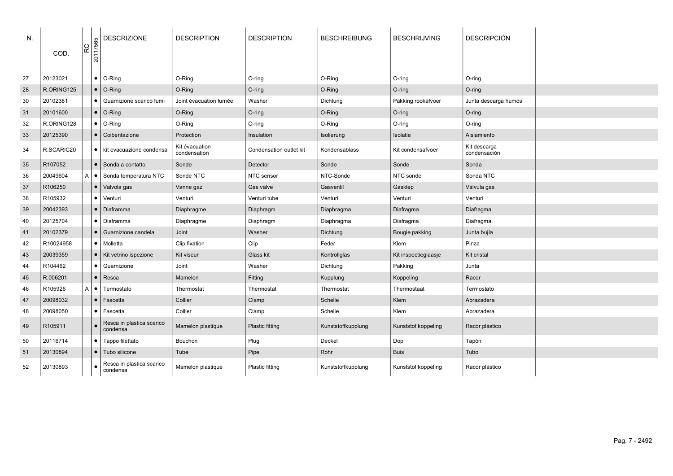| N. | COD.       | RC | 20117565  | <b>DESCRIZIONE</b>                    | <b>DESCRIPTION</b>             | <b>DESCRIPTION</b>      | <b>BESCHREIBUNG</b> | <b>BESCHRIJVING</b>  | <b>DESCRIPCIÓN</b>           |  |
|----|------------|----|-----------|---------------------------------------|--------------------------------|-------------------------|---------------------|----------------------|------------------------------|--|
| 27 | 20123021   |    | $\bullet$ | O-Ring                                | O-Ring                         | O-ring                  | O-Ring              | O-ring               | O-ring                       |  |
| 28 | R.ORING125 |    | $\bullet$ | O-Ring                                | O-Ring                         | O-ring                  | O-Ring              | O-ring               | O-ring                       |  |
| 30 | 20102381   |    | $\bullet$ | Guarnizione scarico fumi              | Joint évacuation fumée         | Washer                  | Dichtung            | Pakking rookafvoer   | Junta descarga humos         |  |
| 31 | 20101600   |    | $\bullet$ | O-Ring                                | O-Ring                         | O-ring                  | O-Ring              | O-ring               | O-ring                       |  |
| 32 | R.ORING128 |    | $\bullet$ | O-Ring                                | O-Ring                         | O-ring                  | O-Ring              | O-ring               | O-ring                       |  |
| 33 | 20125390   |    | $\bullet$ | Coibentazione                         | Protection                     | Insulation              | Isolierung          | Isolatie             | Aislamiento                  |  |
| 34 | R.SCARIC20 |    | $\bullet$ | kit evacuazione condensa              | Kit évacuation<br>condensation | Condensation outlet kit | Kondensablass       | Kit condensafvoer    | Kit descarga<br>condensación |  |
| 35 | R107052    |    | $\bullet$ | Sonda a contatto                      | Sonde                          | Detector                | Sonde               | Sonde                | Sonda                        |  |
| 36 | 20049604   |    | A   ●     | Sonda temperatura NTC                 | Sonde NTC                      | NTC sensor              | NTC-Sonde           | NTC sonde            | Sonda NTC                    |  |
| 37 | R106250    |    | $\bullet$ | Valvola gas                           | Vanne gaz                      | Gas valve               | Gasventil           | Gasklep              | Válvula gas                  |  |
| 38 | R105932    |    | $\bullet$ | Venturi                               | Venturi                        | Venturi tube            | Venturi             | Venturi              | Venturi                      |  |
| 39 | 20042393   |    | $\bullet$ | Diaframma                             | Diaphragme                     | Diaphragm               | Diaphragma          | Diafragma            | Diafragma                    |  |
| 40 | 20125704   |    | $\bullet$ | Diaframma                             | Diaphragme                     | Diaphragm               | Diaphragma          | Diafragma            | Diafragma                    |  |
| 41 | 20102379   |    | $\bullet$ | Guarnizione candela                   | Joint                          | Washer                  | Dichtung            | Bougie pakking       | Junta bujía                  |  |
| 42 | R10024958  |    | $\bullet$ | Molletta                              | Clip fixation                  | Clip                    | Feder               | Klem                 | Pinza                        |  |
| 43 | 20039359   |    | $\bullet$ | Kit vetrino ispezione                 | Kit viseur                     | Glass kit               | Kontrollglas        | Kit inspectieglaasje | <b>Kit cristal</b>           |  |
| 44 | R104462    |    | $\bullet$ | Guarnizione                           | Joint                          | Washer                  | Dichtung            | Pakking              | Junta                        |  |
| 45 | R.006201   |    | $\bullet$ | Resca                                 | Mamelon                        | Fitting                 | Kupplung            | Koppeling            | Racor                        |  |
| 46 | R105926    | A  | $\bullet$ | Termostato                            | Thermostat                     | Thermostat              | Thermostat          | Thermostaat          | Termostato                   |  |
| 47 | 20098032   |    | $\bullet$ | Fascetta                              | Collier                        | Clamp                   | Schelle             | Klem                 | Abrazadera                   |  |
| 48 | 20098050   |    | $\bullet$ | Fascetta                              | Collier                        | Clamp                   | Schelle             | Klem                 | Abrazadera                   |  |
| 49 | R105911    |    | $\bullet$ | Resca in plastica scarico<br>condensa | Mamelon plastique              | <b>Plastic fitting</b>  | Kunststoffkupplung  | Kunststof koppeling  | Racor plàstico               |  |
| 50 | 20116714   |    | $\bullet$ | Tappo filettato                       | Bouchon                        | Plug                    | Deckel              | Dop                  | Tapón                        |  |
| 51 | 20130894   |    | $\bullet$ | Tubo silicone                         | Tube                           | Pipe                    | Rohr                | <b>Buis</b>          | Tubo                         |  |
| 52 | 20130893   |    |           | Resca in plastica scarico<br>condensa | Mamelon plastique              | <b>Plastic fitting</b>  | Kunststoffkupplung  | Kunststof koppeling  | Racor plàstico               |  |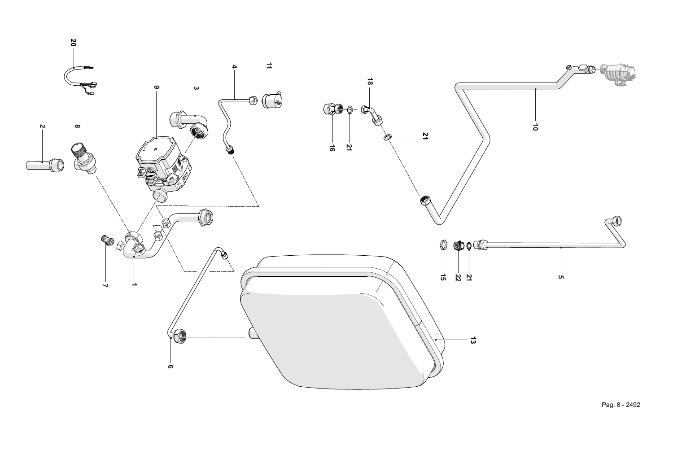

Pag. 8 - 2492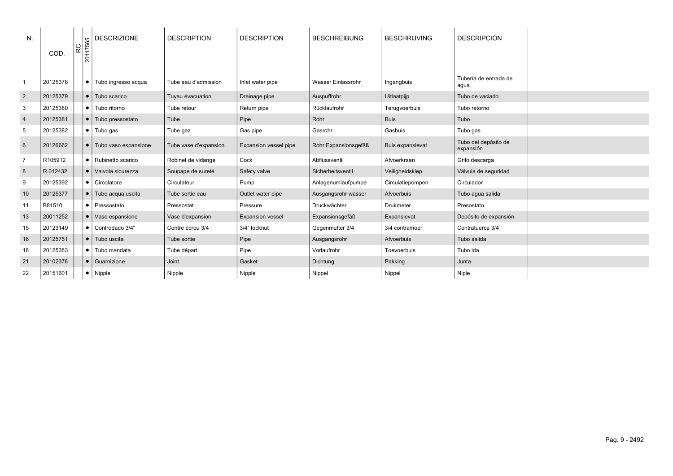| N.               | COD.     | RC | 20117565  | <b>DESCRIZIONE</b>              | <b>DESCRIPTION</b>    | <b>DESCRIPTION</b>      | <b>BESCHREIBUNG</b>  | <b>BESCHRIJVING</b> | <b>DESCRIPCIÓN</b>                |  |
|------------------|----------|----|-----------|---------------------------------|-----------------------|-------------------------|----------------------|---------------------|-----------------------------------|--|
|                  | 20125378 |    |           | $\bullet$   Tubo ingresso acqua | Tube eau d'admission  | Inlet water pipe        | Wasser Einlassrohr   | Ingangbuis          | Tubería de entrada de<br>agua     |  |
| $\overline{2}$   | 20125379 |    | $\bullet$ | Tubo scarico                    | Tuyau évacuation      | Drainage pipe           | Auspuffrohr          | Uitlaatpijp         | Tubo de vaciado                   |  |
| 3                | 20125380 |    |           | $\bullet$   Tubo ritorno        | Tube retour           | Return pipe             | Rücklaufrohr         | Terugvoerbuis       | Tubo retorno                      |  |
| $\overline{4}$   | 20125381 |    |           | • Tubo pressostato              | Tube                  | Pipe                    | Rohr                 | <b>Buis</b>         | Tubo                              |  |
| 5                | 20125382 |    |           | $\bullet$ Tubo gas              | Tube gaz              | Gas pipe                | Gasrohr              | Gasbuis             | Tubo gas                          |  |
| $6\phantom{1}6$  | 20126662 |    |           | $\bullet$ Tubo vaso espansione  | Tube vase d'expansion | Expansion vessel pipe   | Rohr Expansionsgefäß | Buis expansievat    | Tubo del depósito de<br>expansión |  |
| $\overline{7}$   | R105912  |    |           | $\bullet$ Rubinetto scarico     | Robinet de vidange    | Cock                    | Abflussventil        | Afvoerkraan         | Grifo descarga                    |  |
| $\boldsymbol{8}$ | R.012432 |    | $\bullet$ | Valvola sicurezza               | Soupape de sureté     | Safety valve            | Sicherheitsventil    | Veiligheidsklep     | Válvula de seguridad              |  |
| 9                | 20125392 |    |           | $\bullet$   Circolatore         | Circulateur           | Pump                    | Anlagenumlaufpumpe   | Circulatiepompen    | Circulador                        |  |
| 10               | 20125377 |    |           | $\bullet$   Tubo acqua uscita   | Tube sortie eau       | Outlet water pipe       | Ausgangsrohr wasser  | Afvoerbuis          | Tubo agua salida                  |  |
| 11               | B81510   |    |           | $\bullet$   Pressostato         | Pressostat            | Pressure                | Druckwächter         | <b>Drukmeter</b>    | Presostato                        |  |
| 13               | 20011252 |    | $\bullet$ | Vaso espansione                 | Vase d'expansion      | <b>Expansion vessel</b> | Expansionsgefäß      | Expansievat         | Depósito de expansión             |  |
| 15               | 20123149 |    |           | $\bullet$   Controdado 3/4"     | Contre écrou 3/4      | 3/4" locknut            | Gegenmutter 3/4      | 3/4 contramoer      | Contratuerca 3/4                  |  |
| 16               | 20125751 |    | $\bullet$ | Tubo uscita                     | Tube sortie           | Pipe                    | Ausgangsrohr         | Afvoerbuis          | Tubo salida                       |  |
| 18               | 20125383 |    |           | $\bullet$   Tubo mandata        | Tube départ           | Pipe                    | Vorlaufrohr          | Toevoerbuis         | Tubo ida                          |  |
| 21               | 20102376 |    | $\bullet$ | Guarnizione                     | Joint                 | Gasket                  | <b>Dichtung</b>      | Pakking             | Junta                             |  |
| 22               | 20151601 |    |           | $\bullet$   Nipple              | Nipple                | Nipple                  | Nippel               | Nippel              | Niple                             |  |